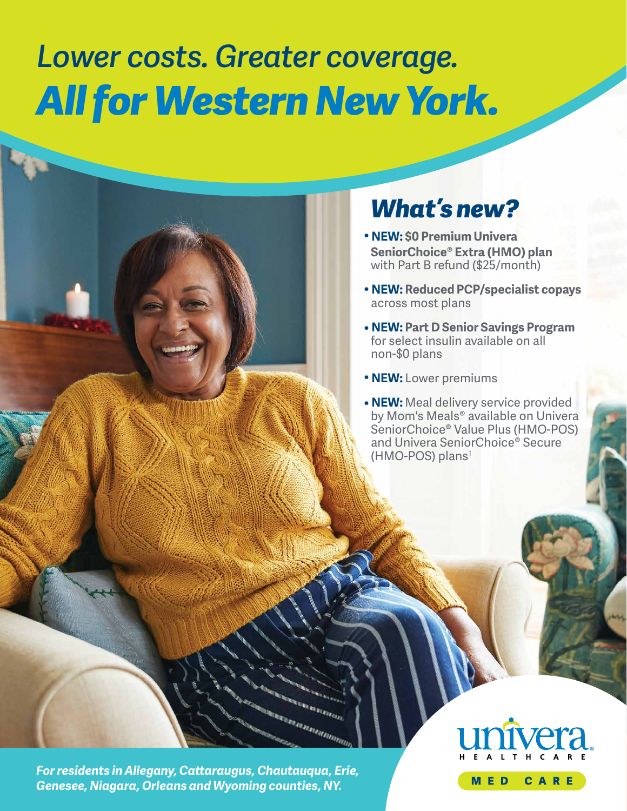# *Lower costs. Greater coverage. All for Western New York.*

# *What's new?*

- **• NEW: \$0 Premium Univera SeniorChoice® Extra (HMO) plan** with Part B refund (\$25/month)
- **• NEW: Reduced PCP/specialist copays** across most plans
- **NEW: Part D Senior Savings Program** for select insulin available on all non-\$0 plans
- **• NEW:** Lower premiums
- **• NEW:** Meal delivery service provided by Mom's Meals**®** available on Univera SeniorChoice**®** Value Plus (HMO-POS) and Univera SeniorChoice**®** Secure (HMO-POS) plans<sup>1</sup>

*For residents in Allegany, Cataraugus, Chautauqua, Erie, Genesee, Niagara, Orleans and Wyoming counties, NY.* 

**MED** CARE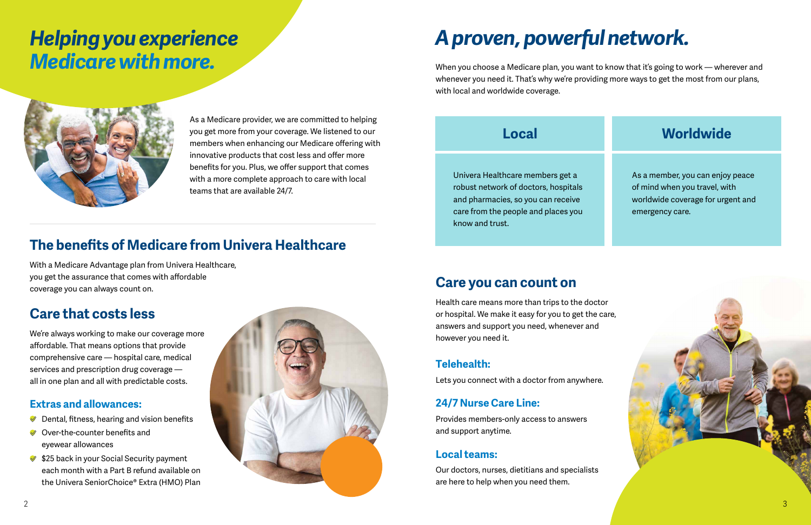As a Medicare provider, we are commited to helping you get more from your coverage. We listened to our members when enhancing our Medicare offering with innovative products that cost less and offer more benefits for you. Plus, we offer support that comes with a more complete approach to care with local teams that are available 24/7.

# *Helping you experience Medicare with more.*



## **The benefts of Medicare from Univera Healthcare**

With a Medicare Advantage plan from Univera Healthcare, you get the assurance that comes with affordable coverage you can always count on.

- $\blacktriangleright$  Dental, fitness, hearing and vision benefits
- **◆** Over-the-counter benefits and eyewear allowances
- **♦ \$25 back in your Social Security payment** each month with a Part B refund available on the Univera SeniorChoice**®** Extra (HMO) Plan

## **Care that costs less**

We're always working to make our coverage more affordable. That means options that provide comprehensive care — hospital care, medical services and prescription drug coverage all in one plan and all with predictable costs.

#### **Extras and allowances:**

# *A proven, powerful network.*

When you choose a Medicare plan, you want to know that it's going to work — wherever and whenever you need it. That's why we're providing more ways to get the most from our plans, with local and worldwide coverage.

## **Local**

Univera Healthcare members get a robust network of doctors, hospitals and pharmacies, so you can receive care from the people and places you know and trust.

# **Worldwide**  As a member, you can enjoy peace of mind when you travel, with worldwide coverage for urgent and emergency care.

## **Care you can count on**

Health care means more than trips to the doctor or hospital. We make it easy for you to get the care, answers and support you need, whenever and however you need it.

### **Telehealth:**

Lets you connect with a doctor from anywhere.

#### **24/7 Nurse Care Line:**

Provides members-only access to answers and support anytime.

#### **Local teams:**

Our doctors, nurses, dietitians and specialists are here to help when you need them.

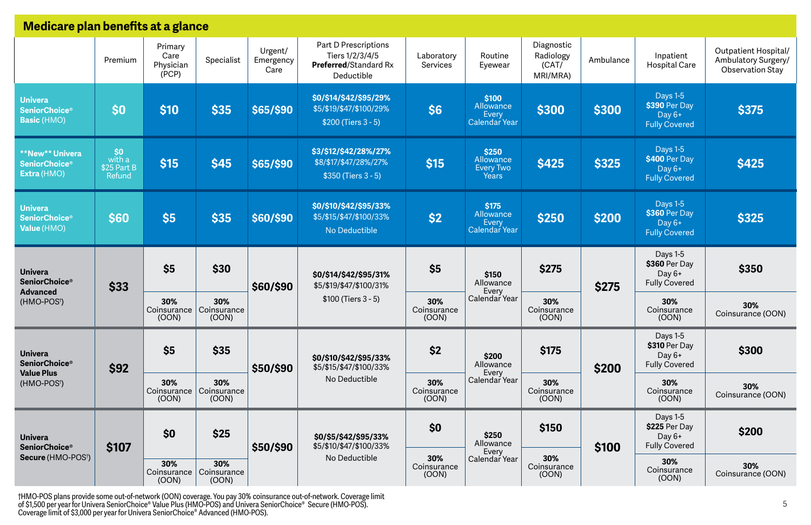| Medicare plan benefits at a glance                                                     |                                        |                                                     |                             |                              |                                                                                       |                             |                                                        |                                              |           |                                                                    |                                                                               |
|----------------------------------------------------------------------------------------|----------------------------------------|-----------------------------------------------------|-----------------------------|------------------------------|---------------------------------------------------------------------------------------|-----------------------------|--------------------------------------------------------|----------------------------------------------|-----------|--------------------------------------------------------------------|-------------------------------------------------------------------------------|
|                                                                                        | Premium                                | Primary<br>Care<br>Specialist<br>Physician<br>(PCP) |                             | Urgent/<br>Emergency<br>Care | Part D Prescriptions<br>Tiers 1/2/3/4/5<br><b>Preferred/Standard Rx</b><br>Deductible | Laboratory<br>Services      | Routine<br>Eyewear                                     | Diagnostic<br>Radiology<br>(CAT/<br>MRI/MRA) | Ambulance | Inpatient<br><b>Hospital Care</b>                                  | <b>Outpatient Hospital/</b><br>Ambulatory Surgery/<br><b>Observation Stay</b> |
| <b>Univera</b><br><b>SeniorChoice®</b><br><b>Basic (HMO)</b>                           | \$0                                    | \$10                                                | \$35                        | \$65/\$90                    | \$0/\$14/\$42/\$95/29%<br>\$5/\$19/\$47/\$100/29%<br>$$200$ (Tiers 3 - 5)             | <b>S6</b>                   | \$100<br>Allowance<br>Every<br>Calendar Year           | \$300                                        | \$300     | <b>Days 1-5</b><br>\$390 Per Day<br>Day 6+<br><b>Fully Covered</b> | \$375                                                                         |
| <b>**New**Univera</b><br><b>SeniorChoice<sup>®</sup></b><br>Extra (HMO)                | \$0<br>with a<br>\$25 Part B<br>Refund | \$15                                                | \$45                        | \$65/\$90                    | \$3/\$12/\$42/28%/27%<br>\$8/\$17/\$47/28%/27%<br>$$350$ (Tiers 3 - 5)                | \$15                        | \$250<br>Allowance<br><b>Every Two</b><br><b>Years</b> | \$425                                        | \$325     | <b>Days 1-5</b><br>\$400 Per Day<br>Day 6+<br><b>Fully Covered</b> | \$425                                                                         |
| <b>Univera</b><br><b>SeniorChoice<sup>®</sup></b><br>Value (HMO)                       | \$60                                   | \$5                                                 | \$35                        | \$60/\$90                    | \$0/\$10/\$42/\$95/33%<br>\$5/\$15/\$47/\$100/33%<br>No Deductible                    | \$2                         | \$175<br>Allowance<br>Every<br>Calendar Year           | \$250                                        | \$200     | <b>Days 1-5</b><br>\$360 Per Day<br>Day 6+<br><b>Fully Covered</b> | \$325                                                                         |
| <b>Univera</b><br><b>SeniorChoice®</b><br><b>Advanced</b><br>(HMO-POS <sup>†</sup> )   | \$33                                   | \$5                                                 | \$30                        | \$60/\$90                    | \$0/\$14/\$42/\$95/31%<br>\$5/\$19/\$47/\$100/31%<br>$$100$ (Tiers 3 - 5)             | \$5                         | \$150<br>Allowance<br>Every                            | \$275                                        | \$275     | Days 1-5<br>\$360 Per Day<br>Day $6+$<br><b>Fully Covered</b>      | \$350                                                                         |
|                                                                                        |                                        | 30%<br>Coinsurance   Coinsurance<br>(00N)           | 30%<br>(OOD)                |                              |                                                                                       | 30%<br>Coinsurance<br>(00N) | Calendar Year                                          | 30%<br>Coinsurance<br>(00N)                  |           | 30%<br>Coinsurance<br>(OOD)                                        | 30%<br>Coinsurance (OON)                                                      |
| <b>Univera</b><br><b>SeniorChoice®</b><br><b>Value Plus</b><br>(HMO-POS <sup>†</sup> ) | \$92                                   | \$5                                                 | \$35                        | \$50/\$90                    | \$0/\$10/\$42/\$95/33%<br>\$5/\$15/\$47/\$100/33%<br>No Deductible                    | \$2                         | \$200<br>Allowance<br>Every                            | \$175                                        | \$200     | Days 1-5<br>\$310 Per Day<br>Day $6+$<br><b>Fully Covered</b>      | \$300                                                                         |
|                                                                                        |                                        | 30%<br>Coinsurance<br>(OOD)                         | 30%<br>Coinsurance<br>(00N) |                              |                                                                                       | 30%<br>Coinsurance<br>(00N) | Calendar Year                                          | 30%<br>Coinsurance<br>(00N)                  |           | 30%<br>Coinsurance<br>(OOD)                                        | 30%<br>Coinsurance (OON)                                                      |
| <b>Univera</b><br><b>SeniorChoice®</b><br><b>Secure (HMO-POS<sup>†</sup>)</b>          | \$107                                  | \$0                                                 | \$25                        | \$50/\$90                    | \$0/\$5/\$42/\$95/33%<br>\$5/\$10/\$47/\$100/33%<br>No Deductible                     | \$0                         | \$250<br>Allowance<br>Every<br>Calendar Year           | \$150                                        | \$100     | Days 1-5<br>\$225 Per Day<br>Day 6+<br><b>Fully Covered</b>        | \$200                                                                         |
|                                                                                        |                                        | 30%<br>Coinsurance   Coinsurance<br>(OON)           | 30%<br>(OON)                |                              |                                                                                       | 30%<br>Coinsurance<br>(00N) |                                                        | 30%<br>Coinsurance<br>(OON)                  |           | 30%<br>Coinsurance<br>(OOD)                                        | 30%<br>Coinsurance (OON)                                                      |

†HMO-POS plans provide some out-of-network (OON) coverage. You pay 30% coinsurance out-of-network. Coverage limit of \$1,500 per year for Univera SeniorChoice® Value Plus (HMO-POS) and Univera SeniorChoice® Secure (HMO-POS). Coverage limit of \$3,000 per year for Univera SeniorChoice® Advanced (HMO-POS).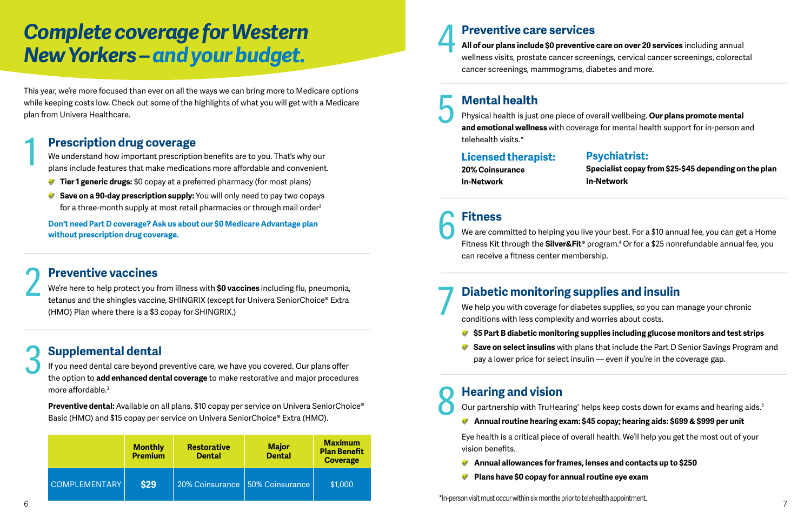# *Complete coverage for Western New Yorkers – and your budget.*

This year, we're more focused than ever on all the ways we can bring more to Medicare options while keeping costs low. Check out some of the highlights of what you will get with a Medicare plan from Univera Healthcare.

We understand how important prescription benefits are to you. That's why our plans include features that make medications more afordable and convenient.

- **◆ Tier 1 generic drugs:** \$0 copay at a preferred pharmacy (for most plans)
- **◆ Save on a 90-day prescription supply:** You will only need to pay two copays for a three-month supply at most retail pharmacies or through mail order<sup>2</sup>

### 1 **Prescription drug coverage**

**Preventive vaccines**<br>
We're here to help protect you from illness with **\$0 vaccines** including flu, pneumonia,<br>
tetanus and the shingles vaccine, SHINGRIX (except for Univera SeniorChoice® Extra We're here to help protect you from illness with **\$0 vaccines** including fu, pneumonia, (HMO) Plan where there is a \$3 copay for SHINGRIX.)

**Don't need Part D coverage? Ask us about our \$0 Medicare Advantage plan without prescription drug coverage.** 

**19 Mental health**<br> **19 Physical health is just**<br> **and emotional wellne** Physical health is just one piece of overall wellbeing. **Our plans promote mental and emotional wellness** with coverage for mental health support for in-person and telehealth visits.\*

### 3 **Supplemental dental**

If you need dental care beyond preventive care, we have you covered. Our plans offer the option to **add enhanced dental coverage** to make restorative and major procedures more affordable. $3$ 

We are committed to helping you live your best. For a \$10 annual fee, you can get a Home Fitness Kit through the **Silver&Fit®** program.4 Or for a \$25 nonrefundable annual fee, you can receive a ftness center membership.

We help you with coverage for diabetes supplies, so you can manage your chronic conditions with less complexity and worries about costs.

- 
- 

**Preventive dental:** Available on all plans. \$10 copay per service on Univera SeniorChoice**®**  Basic (HMO) and \$15 copay per service on Univera SeniorChoice**®** Extra (HMO).

**◆ \$5 Part B diabetic monitoring supplies including glucose monitors and test strips ◆ Save on select insulins** with plans that include the Part D Senior Savings Program and pay a lower price for select insulin — even if you're in the coverage gap.

Eye health is a critical piece of overall health. We'll help you get the most out of your vision benefits.

## 4 **Preventive care services**

**All of our plans include \$0 preventive care on over 20 services** including annual wellness visits, prostate cancer screenings, cervical cancer screenings, colorectal cancer screenings, mammograms, diabetes and more.

#### **Licensed therapist: Psychiatrist:**

**20% Coinsurance In-Network** 

**Specialist copay from \$25-\$45 depending on the plan In-Network** 

### 6 **Fitness**

|               | <b>Monthly</b><br><b>Premium</b> | <b>Restorative</b><br><b>Dental</b> | <b>Major</b><br><b>Dental</b><br>$\mid$ 20% Coinsurance $\mid$ 50% Coinsurance $\mid$ | <b>Maximum</b><br><b>Plan Benefit</b><br><b>Coverage</b><br>\$1,000 | Lye health is a critical piece of overall health. We'll help you get the most out of your<br>vision benefits.<br>Annual allowances for frames, lenses and contacts up to \$250 |  |  |
|---------------|----------------------------------|-------------------------------------|---------------------------------------------------------------------------------------|---------------------------------------------------------------------|--------------------------------------------------------------------------------------------------------------------------------------------------------------------------------|--|--|
| COMPLEMENTARY | \$29                             |                                     |                                                                                       |                                                                     | Plans have \$0 copay for annual routine eye exam                                                                                                                               |  |  |
|               |                                  |                                     |                                                                                       |                                                                     | *In-person visit must occur within six months prior to telehealth appointment.                                                                                                 |  |  |

## 7 **Diabetic monitoring supplies and insulin**

### 8 **Hearing and vision**

Our partnership with TruHearing**®** helps keep costs down for exams and hearing aids.5 **Annual routine hearing exam: \$45 copay; hearing aids: \$699 & \$999 per unit** 

- **Annual allowances for frames, lenses and contacts up to \$250**
- **Plans have \$0 copay for annual routine eye exam**